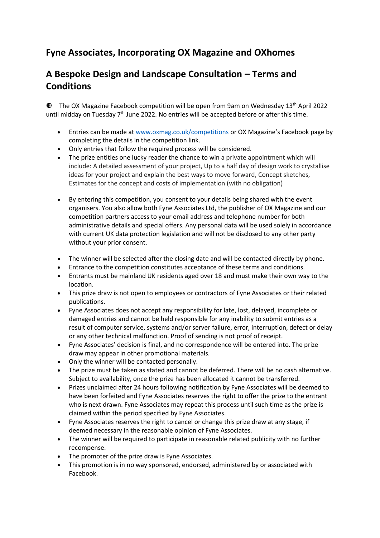## **Fyne Associates, Incorporating OX Magazine and OXhomes**

## **A Bespoke Design and Landscape Consultation – Terms and Conditions**

 $\Phi$  The OX Magazine Facebook competition will be open from 9am on Wednesday 13<sup>th</sup> April 2022 until midday on Tuesday  $7<sup>th</sup>$  June 2022. No entries will be accepted before or after this time.

- Entries can be made at www.oxmag.co.uk/competitions or OX Magazine's Facebook page by completing the details in the competition link.
- Only entries that follow the required process will be considered.
- The prize entitles one lucky reader the chance to win a private appointment which will include: A detailed assessment of your project, Up to a half day of design work to crystallise ideas for your project and explain the best ways to move forward, Concept sketches, Estimates for the concept and costs of implementation (with no obligation)
- By entering this competition, you consent to your details being shared with the event organisers. You also allow both Fyne Associates Ltd, the publisher of OX Magazine and our competition partners access to your email address and telephone number for both administrative details and special offers. Any personal data will be used solely in accordance with current UK data protection legislation and will not be disclosed to any other party without your prior consent.
- The winner will be selected after the closing date and will be contacted directly by phone.
- Entrance to the competition constitutes acceptance of these terms and conditions.
- Entrants must be mainland UK residents aged over 18 and must make their own way to the location.
- This prize draw is not open to employees or contractors of Fyne Associates or their related publications.
- Fyne Associates does not accept any responsibility for late, lost, delayed, incomplete or damaged entries and cannot be held responsible for any inability to submit entries as a result of computer service, systems and/or server failure, error, interruption, defect or delay or any other technical malfunction. Proof of sending is not proof of receipt.
- Fyne Associates' decision is final, and no correspondence will be entered into. The prize draw may appear in other promotional materials.
- Only the winner will be contacted personally.
- The prize must be taken as stated and cannot be deferred. There will be no cash alternative. Subject to availability, once the prize has been allocated it cannot be transferred.
- Prizes unclaimed after 24 hours following notification by Fyne Associates will be deemed to have been forfeited and Fyne Associates reserves the right to offer the prize to the entrant who is next drawn. Fyne Associates may repeat this process until such time as the prize is claimed within the period specified by Fyne Associates.
- Fyne Associates reserves the right to cancel or change this prize draw at any stage, if deemed necessary in the reasonable opinion of Fyne Associates.
- The winner will be required to participate in reasonable related publicity with no further recompense.
- The promoter of the prize draw is Fyne Associates.
- This promotion is in no way sponsored, endorsed, administered by or associated with Facebook.